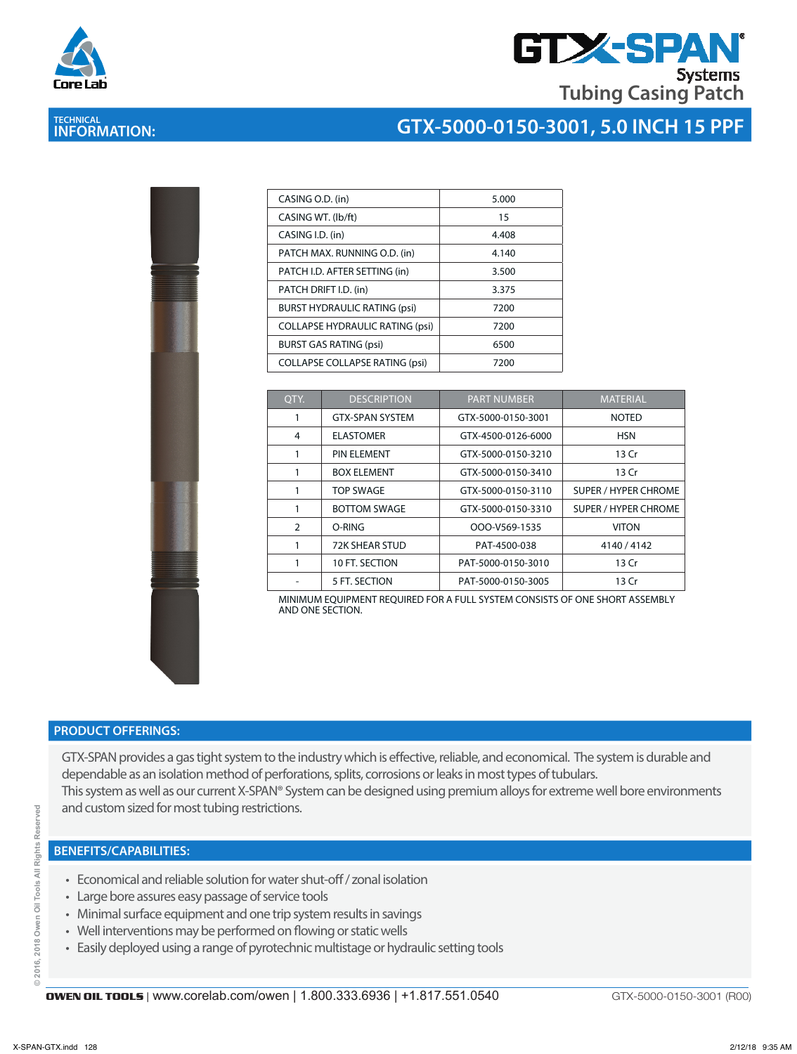

**TECHNICAL INFORMATION:** 

## **GTX-SPA Systems Tubing Casing Patch**

### **GTX-5000-0150-3001, 5.0 INCH 15 PPF**

| CASING O.D. (in)                       | 5.000 |
|----------------------------------------|-------|
| CASING WT. (lb/ft)                     | 15    |
| CASING I.D. (in)                       | 4.408 |
| PATCH MAX. RUNNING O.D. (in)           | 4.140 |
| PATCH I.D. AFTER SETTING (in)          | 3.500 |
| PATCH DRIFT I.D. (in)                  | 3.375 |
| <b>BURST HYDRAULIC RATING (psi)</b>    | 7200  |
| <b>COLLAPSE HYDRAULIC RATING (psi)</b> | 7200  |
| <b>BURST GAS RATING (psi)</b>          | 6500  |
| <b>COLLAPSE COLLAPSE RATING (psi)</b>  | 7200  |

| QTY. | <b>DESCRIPTION</b>     | <b>PART NUMBER</b> | <b>MATERIAL</b>             |
|------|------------------------|--------------------|-----------------------------|
|      | <b>GTX-SPAN SYSTEM</b> | GTX-5000-0150-3001 | <b>NOTED</b>                |
| 4    | <b>ELASTOMER</b>       | GTX-4500-0126-6000 | <b>HSN</b>                  |
|      | <b>PIN ELEMENT</b>     | GTX-5000-0150-3210 | 13 Cr                       |
|      | <b>BOX ELEMENT</b>     | GTX-5000-0150-3410 | 13 Cr                       |
|      | <b>TOP SWAGE</b>       | GTX-5000-0150-3110 | <b>SUPER / HYPER CHROME</b> |
|      | <b>BOTTOM SWAGE</b>    | GTX-5000-0150-3310 | <b>SUPER / HYPER CHROME</b> |
| 2    | O-RING                 | OOO-V569-1535      | <b>VITON</b>                |
|      | <b>72K SHEAR STUD</b>  | PAT-4500-038       | 4140 / 4142                 |
|      | 10 FT. SECTION         | PAT-5000-0150-3010 | 13 Cr                       |
|      | 5 FT. SECTION          | PAT-5000-0150-3005 | 13 Cr                       |

MINIMUM EQUIPMENT REQUIRED FOR A FULL SYSTEM CONSISTS OF ONE SHORT ASSEMBLY AND ONE SECTION.

#### **PRODUCT OFFERINGS:**

GTX-SPAN provides a gas tight system to the industry which is effective, reliable, and economical. The system is durable and dependable as an isolation method of perforations, splits, corrosions or leaks in most types of tubulars. This system as well as our current X-SPAN® System can be designed using premium alloys for extreme well bore environments and custom sized for most tubing restrictions.

#### **BENEFITS/CAPABILITIES:**

- Economical and reliable solution for water shut-off / zonal isolation
- Large bore assures easy passage of service tools
- Minimal surface equipment and one trip system results in savings
- Well interventions may be performed on flowing or static wells
- Easily deployed using a range of pyrotechnic multistage or hydraulic setting tools

ă

GTX-5000-0150-3001 (R00)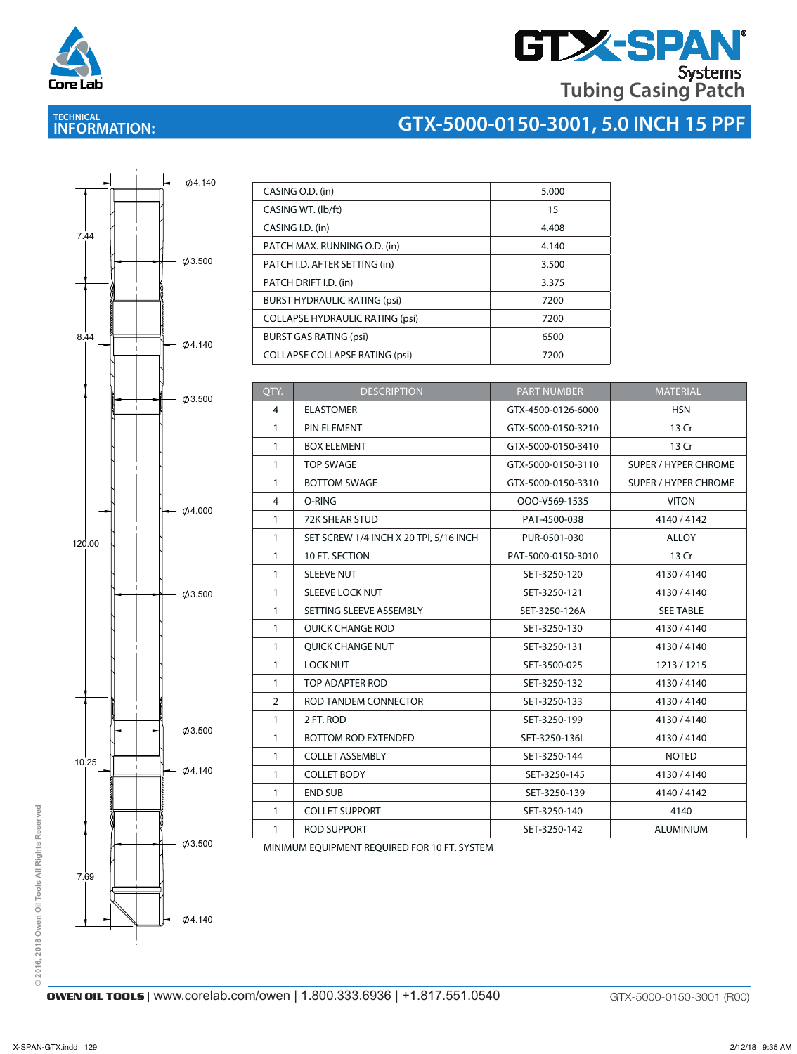

# **GTX-SPAN Tubing Casing Patch**

**GTX-5000-0150-3001, 5.0 INCH 15 PPF** <sup>C</sup>

### **TECHNICAL INFORMATION:**

# $Ø4.140$  $\phi$ 3.500  $\emptyset$ 4.140  $\phi$ 3.500  $\emptyset$ 4.000  $\emptyset$ 3.500  $Ø4.140$  $\emptyset$ 3.500  $\emptyset$ 3.500  $\emptyset$ 4.140 7.44 8.44 120.00 10.25 7.69

| CASING O.D. (in)                       | 5.000 |
|----------------------------------------|-------|
| CASING WT. (Ib/ft)                     | 15    |
| CASING I.D. (in)                       | 4.408 |
| PATCH MAX. RUNNING O.D. (in)           | 4.140 |
| PATCH I.D. AFTER SETTING (in)          | 3.500 |
| PATCH DRIFT I.D. (in)                  | 3.375 |
| <b>BURST HYDRAULIC RATING (psi)</b>    | 7200  |
| <b>COLLAPSE HYDRAULIC RATING (psi)</b> | 7200  |
| <b>BURST GAS RATING (psi)</b>          | 6500  |
| <b>COLLAPSE COLLAPSE RATING (psi)</b>  | 7200  |

| QTY.         | <b>DESCRIPTION</b>                     | <b>PART NUMBER</b> | <b>MATERIAL</b>             |
|--------------|----------------------------------------|--------------------|-----------------------------|
| 4            | <b>ELASTOMER</b>                       | GTX-4500-0126-6000 | <b>HSN</b>                  |
| $\mathbf{1}$ | PIN ELEMENT                            | GTX-5000-0150-3210 | 13 Cr                       |
| 1            | <b>BOX ELEMENT</b>                     | GTX-5000-0150-3410 | 13 Cr                       |
| 1            | <b>TOP SWAGE</b>                       | GTX-5000-0150-3110 | SUPER / HYPER CHROME        |
| $\mathbf{1}$ | <b>BOTTOM SWAGE</b>                    | GTX-5000-0150-3310 | <b>SUPER / HYPER CHROME</b> |
| 4            | O-RING                                 | OOO-V569-1535      | <b>VITON</b>                |
| $\mathbf{1}$ | <b>72K SHEAR STUD</b>                  | PAT-4500-038       | 4140/4142                   |
| $\mathbf{1}$ | SET SCREW 1/4 INCH X 20 TPI, 5/16 INCH | PUR-0501-030       | <b>ALLOY</b>                |
| $\mathbf{1}$ | 10 FT. SECTION                         | PAT-5000-0150-3010 | 13 Cr                       |
| $\mathbf{1}$ | <b>SLEEVE NUT</b>                      | SET-3250-120       | 4130/4140                   |
| $\mathbf{1}$ | <b>SLEEVE LOCK NUT</b>                 | SET-3250-121       | 4130/4140                   |
| $\mathbf{1}$ | SETTING SLEEVE ASSEMBLY                | SET-3250-126A      | <b>SEE TABLE</b>            |
| $\mathbf{1}$ | <b>OUICK CHANGE ROD</b>                | SET-3250-130       | 4130/4140                   |
| 1            | QUICK CHANGE NUT                       | SET-3250-131       | 4130/4140                   |
| $\mathbf{1}$ | <b>LOCK NUT</b>                        | SET-3500-025       | 1213/1215                   |
| 1            | <b>TOP ADAPTER ROD</b>                 | SET-3250-132       | 4130/4140                   |
| 2            | ROD TANDEM CONNECTOR                   | SET-3250-133       | 4130/4140                   |
| 1            | 2 FT. ROD                              | SET-3250-199       | 4130/4140                   |
| 1            | <b>BOTTOM ROD EXTENDED</b>             | SET-3250-136L      | 4130/4140                   |
| 1            | <b>COLLET ASSEMBLY</b>                 | SET-3250-144       | <b>NOTED</b>                |
| 1            | <b>COLLET BODY</b>                     | SET-3250-145       | 4130/4140                   |
| 1            | <b>END SUB</b>                         | SET-3250-139       | 4140 / 4142                 |
| $\mathbf{1}$ | <b>COLLET SUPPORT</b>                  | SET-3250-140       | 4140                        |
| 1            | <b>ROD SUPPORT</b>                     | SET-3250-142       | <b>ALUMINIUM</b>            |

MINIMUM EQUIPMENT REQUIRED FOR 10 FT. SYSTEM